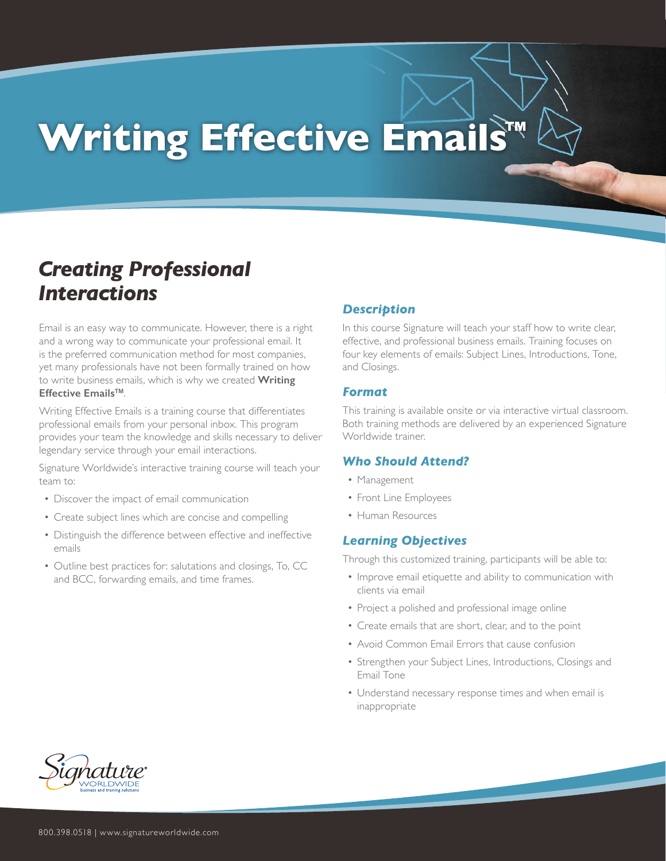# **Writing Effective Emails™**

# *Creating Professional Interactions*

Email is an easy way to communicate. However, there is a right and a wrong way to communicate your professional email. It is the preferred communication method for most companies, yet many professionals have not been formally trained on how to write business emails, which is why we created **Writing Effective Emails™**.

Writing Effective Emails is a training course that differentiates professional emails from your personal inbox. This program provides your team the knowledge and skills necessary to deliver legendary service through your email interactions.

Signature Worldwide's interactive training course will teach your team to:

- Discover the impact of email communication
- Create subject lines which are concise and compelling
- Distinguish the difference between effective and ineffective emails
- Outline best practices for: salutations and closings, To, CC and BCC, forwarding emails, and time frames.

## *Description*

In this course Signature will teach your staff how to write clear, effective, and professional business emails. Training focuses on four key elements of emails: Subject Lines, Introductions, Tone, and Closings.

#### *Format*

This training is available onsite or via interactive virtual classroom. Both training methods are delivered by an experienced Signature Worldwide trainer.

## *Who Should Attend?*

- Management
- Front Line Employees
- Human Resources

## *Learning Objectives*

Through this customized training, participants will be able to:

- Improve email etiquette and ability to communication with clients via email
- Project a polished and professional image online
- Create emails that are short, clear, and to the point
- Avoid Common Email Errors that cause confusion
- Strengthen your Subject Lines, Introductions, Closings and Email Tone
- Understand necessary response times and when email is inappropriate